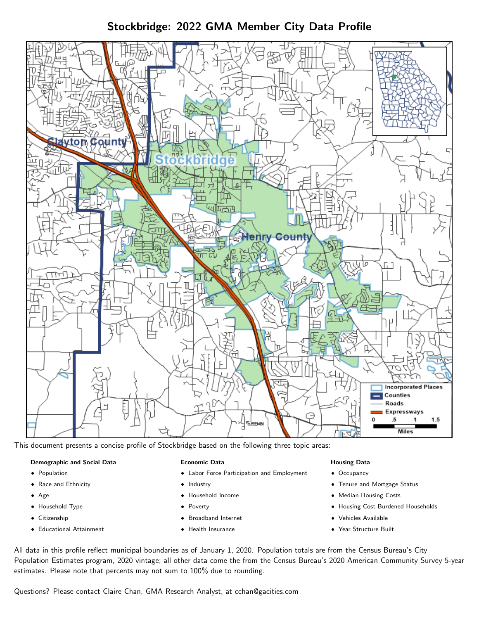Stockbridge: 2022 GMA Member City Data Profile



This document presents a concise profile of Stockbridge based on the following three topic areas:

### Demographic and Social Data

- **•** Population
- Race and Ethnicity
- Age
- Household Type
- **Citizenship**
- Educational Attainment

### Economic Data

- Labor Force Participation and Employment
- Industry
- Household Income
- Poverty
- Broadband Internet
- Health Insurance

### Housing Data

- Occupancy
- Tenure and Mortgage Status
- Median Housing Costs
- Housing Cost-Burdened Households
- Vehicles Available
- Year Structure Built

All data in this profile reflect municipal boundaries as of January 1, 2020. Population totals are from the Census Bureau's City Population Estimates program, 2020 vintage; all other data come the from the Census Bureau's 2020 American Community Survey 5-year estimates. Please note that percents may not sum to 100% due to rounding.

Questions? Please contact Claire Chan, GMA Research Analyst, at [cchan@gacities.com.](mailto:cchan@gacities.com)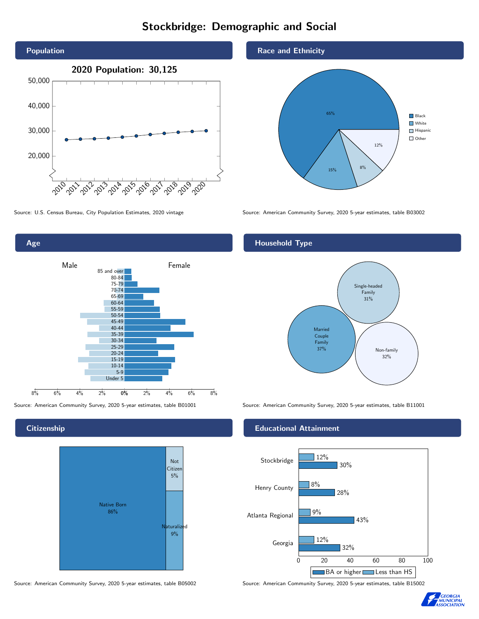# Stockbridge: Demographic and Social





**Citizenship** 



Source: American Community Survey, 2020 5-year estimates, table B05002 Source: American Community Survey, 2020 5-year estimates, table B15002

Race and Ethnicity



Source: U.S. Census Bureau, City Population Estimates, 2020 vintage Source: American Community Survey, 2020 5-year estimates, table B03002

## Household Type



Source: American Community Survey, 2020 5-year estimates, table B01001 Source: American Community Survey, 2020 5-year estimates, table B11001

#### Educational Attainment



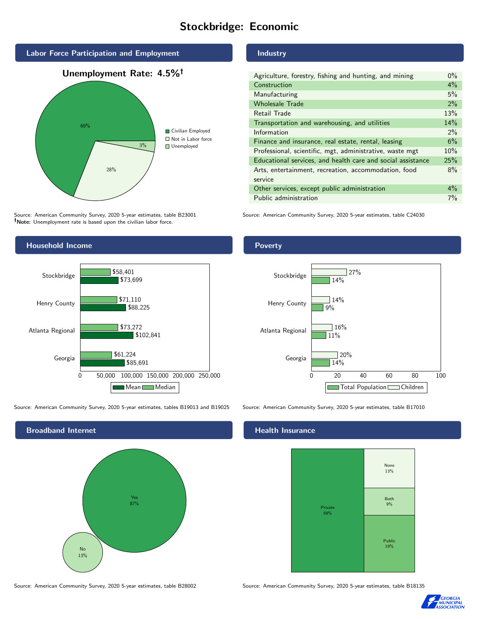# Stockbridge: Economic



Source: American Community Survey, 2020 5-year estimates, table B23001 Note: Unemployment rate is based upon the civilian labor force.



Source: American Community Survey, 2020 5-year estimates, tables B19013 and B19025 Source: American Community Survey, 2020 5-year estimates, table B17010



Source: American Community Survey, 2020 5-year estimates, table B28002 Source: American Community Survey, 2020 5-year estimates, table B18135

## Industry

| Agriculture, forestry, fishing and hunting, and mining      | $0\%$ |
|-------------------------------------------------------------|-------|
| Construction                                                | 4%    |
| Manufacturing                                               | 5%    |
| <b>Wholesale Trade</b>                                      | 2%    |
| Retail Trade                                                | 13%   |
| Transportation and warehousing, and utilities               | 14%   |
| Information                                                 | $2\%$ |
| Finance and insurance, real estate, rental, leasing         | 6%    |
| Professional, scientific, mgt, administrative, waste mgt    | 10%   |
| Educational services, and health care and social assistance | 25%   |
| Arts, entertainment, recreation, accommodation, food        | 8%    |
| service                                                     |       |
| Other services, except public administration                | $4\%$ |
| Public administration                                       | 7%    |

Source: American Community Survey, 2020 5-year estimates, table C24030

### **Poverty**



#### Health Insurance